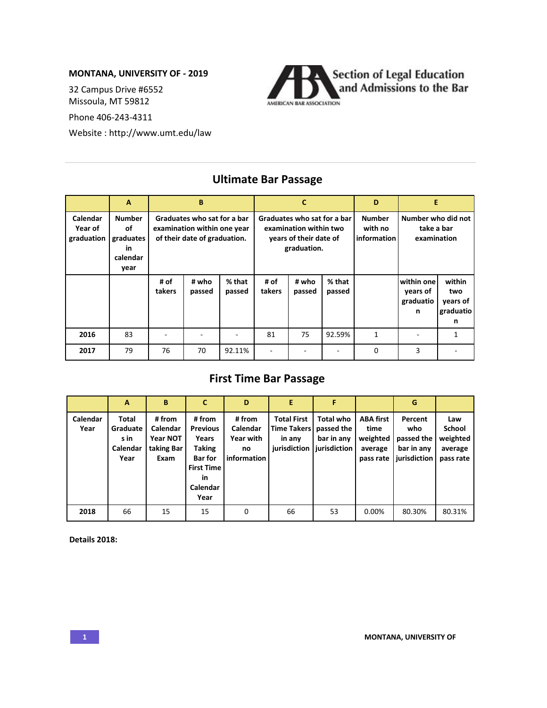## **MONTANA, UNIVERSITY OF - 2019**

32 Campus Drive #6552 Missoula, MT 59812

Phone 406-243-4311

Website : http://www.umt.edu/law



## **A B C D E Calendar Year of graduation Number of graduates in calendar year Graduates who sat for a bar examination within one year of their date of graduation. Graduates who sat for a bar examination within two years of their date of graduation. Number with no information Number who did not take a bar examination # of takers # who passed % that passed # of takers # who passed % that passed within one years of graduatio n within two years of graduatio n 2016** | 83 | - | - | - | 81 | 75 |92.59% | 1 | - | 1 **2017** | 79 | 76 | 70 |92.11% | - | - | - | 0 | 3 | -

## **Ultimate Bar Passage**

## **First Time Bar Passage**

|                  | A                                             | B                                                    | C                                                                                                                    | D                                                           | E                                                                  | F                                                            |                                                              | G                                                          |                                                          |
|------------------|-----------------------------------------------|------------------------------------------------------|----------------------------------------------------------------------------------------------------------------------|-------------------------------------------------------------|--------------------------------------------------------------------|--------------------------------------------------------------|--------------------------------------------------------------|------------------------------------------------------------|----------------------------------------------------------|
| Calendar<br>Year | Total<br>Graduate<br>s in<br>Calendar<br>Year | # from<br>Calendar<br>Year NOT<br>taking Bar<br>Exam | # from<br><b>Previous</b><br>Years<br><b>Taking</b><br><b>Bar for</b><br><b>First Time</b><br>in<br>Calendar<br>Year | # from<br>Calendar<br><b>Year with</b><br>no<br>information | <b>Total First</b><br><b>Time Takers</b><br>in any<br>jurisdiction | <b>Total who</b><br>passed the<br>bar in any<br>jurisdiction | <b>ABA first</b><br>time<br>weighted<br>average<br>pass rate | Percent<br>who<br>passed the<br>bar in any<br>iurisdiction | Law<br><b>School</b><br>weighted<br>average<br>pass rate |
| 2018             | 66                                            | 15                                                   | 15                                                                                                                   | $\Omega$                                                    | 66                                                                 | 53                                                           | $0.00\%$                                                     | 80.30%                                                     | 80.31%                                                   |

**Details 2018:**